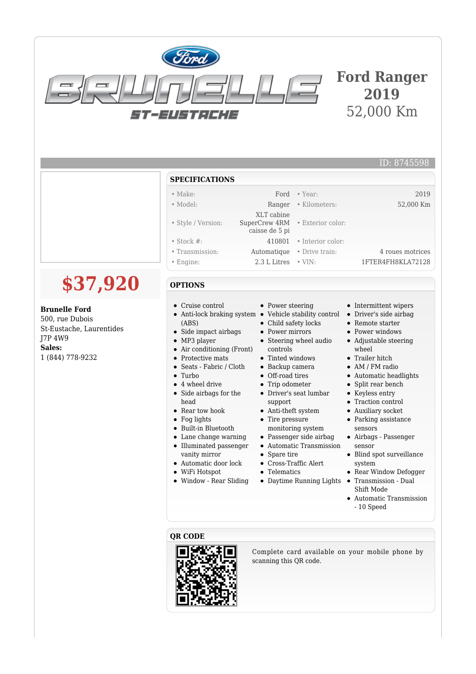

# **Ford Ranger 2019** 52,000 Km

ID: 8745598

### **SPECIFICATIONS**

| $\bullet$ Make:    |                                 | Ford • Year:               | 2019              |
|--------------------|---------------------------------|----------------------------|-------------------|
| $\bullet$ Model:   |                                 | Ranger • Kilometers:       | 52,000 Km         |
|                    | XLT cabine                      |                            |                   |
| • Style / Version: | SuperCrew 4RM . Exterior color: |                            |                   |
|                    | caisse de 5 pi                  |                            |                   |
| $\bullet$ Stock #: |                                 | $410801$ • Interior color: |                   |
| • Transmission:    |                                 | Automatique • Drive train: | 4 roues motrices  |
| $\bullet$ Engine:  | 2.3 L Litres                    | $\bullet$ VIN:             | 1FTER4FH8KLA72128 |

#### **OPTIONS**

- Cruise control
- $\bullet$ Anti-lock braking system • Vehicle stability control (ABS)
- $\bullet$ Side impact airbags
- MP3 player
- Air conditioning (Front)
- Protective mats
- Seats Fabric / Cloth
- Turbo
- $\bullet$ 4 wheel drive
- Side airbags for the head
- Rear tow hook
- Fog lights
- Built-in Bluetooth
- Lane change warning Illuminated passenger
- vanity mirror
- Automatic door lock
- WiFi Hotspot
- Window Rear Sliding
- Power steering
- 
- Child safety locks
- Power mirrors
- Steering wheel audio controls
- 
- Backup camera
- 
- 
- support
- Anti-theft system
- monitoring system
- 
- Automatic Transmission
- Spare tire
- Cross-Traffic Alert
- Telematics
- 
- Intermittent wipers
- Driver's side airbag
- Remote starter
- Power windows
- Adjustable steering wheel
- **•** Trailer hitch
- AM / FM radio
- Automatic headlights
- Split rear bench
- Keyless entry
- Traction control
- Auxiliary socket
- Parking assistance sensors
- Airbags Passenger sensor
- Blind spot surveillance system
- Rear Window Defogger
- Transmission Dual Shift Mode
- Automatic Transmission - 10 Speed

#### **QR CODE**



Complete card available on your mobile phone by scanning this QR code.

- $\bullet~$  Tinted windows
	- Off-road tires
	- Trip odometer
	- Driver's seat lumbar
	-
	- Tire pressure
	- Passenger side airbag
	-
	-
	-
	- Daytime Running Lights
- 



- - -
- 

1 (844) 778-9232

**\$37,920**

**Brunelle Ford** 500, rue Dubois

J7P 4W9 **Sales:**

St-Eustache, Laurentides